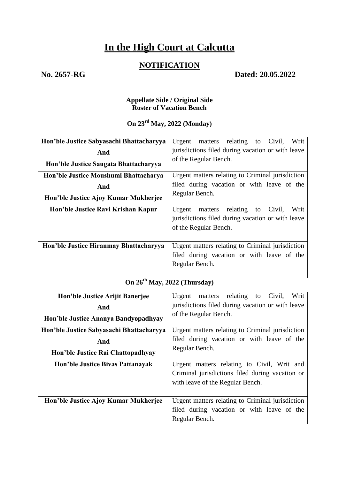# **In the High Court at Calcutta**

### **NOTIFICATION**

**No. 2657-RG Dated: 20.05.2022**

#### **Appellate Side / Original Side Roster of Vacation Bench**

## **On 23rd May, 2022 (Monday)**

| Hon'ble Justice Sabyasachi Bhattacharyya | Urgent<br>relating to Civil,<br>Writ<br>matters       |
|------------------------------------------|-------------------------------------------------------|
| And                                      | jurisdictions filed during vacation or with leave     |
| Hon'ble Justice Saugata Bhattacharyya    | of the Regular Bench.                                 |
| Hon'ble Justice Moushumi Bhattacharya    | Urgent matters relating to Criminal jurisdiction      |
| And                                      | filed during vacation or with leave of the            |
| Hon'ble Justice Ajoy Kumar Mukherjee     | Regular Bench.                                        |
| Hon'ble Justice Ravi Krishan Kapur       | relating<br>Civil,<br>Writ<br>Urgent<br>to<br>matters |
|                                          | jurisdictions filed during vacation or with leave     |
|                                          | of the Regular Bench.                                 |
|                                          |                                                       |
| Hon'ble Justice Hiranmay Bhattacharyya   | Urgent matters relating to Criminal jurisdiction      |
|                                          | filed during vacation or with leave of the            |
|                                          | Regular Bench.                                        |
|                                          |                                                       |

# **On 26th May, 2022 (Thursday)**

| Hon'ble Justice Arijit Banerjee          | Urgent<br>relating<br>Civil,<br>Writ<br>matters<br>to |
|------------------------------------------|-------------------------------------------------------|
| And                                      | jurisdictions filed during vacation or with leave     |
| Hon'ble Justice Ananya Bandyopadhyay     | of the Regular Bench.                                 |
| Hon'ble Justice Sabyasachi Bhattacharyya | Urgent matters relating to Criminal jurisdiction      |
| And                                      | filed during vacation or with leave of the            |
| Hon'ble Justice Rai Chattopadhyay        | Regular Bench.                                        |
| Hon'ble Justice Bivas Pattanayak         | Urgent matters relating to Civil, Writ and            |
|                                          | Criminal jurisdictions filed during vacation or       |
|                                          | with leave of the Regular Bench.                      |
|                                          |                                                       |
| Hon'ble Justice Ajoy Kumar Mukherjee     | Urgent matters relating to Criminal jurisdiction      |
|                                          | filed during vacation or with leave of the            |
|                                          | Regular Bench.                                        |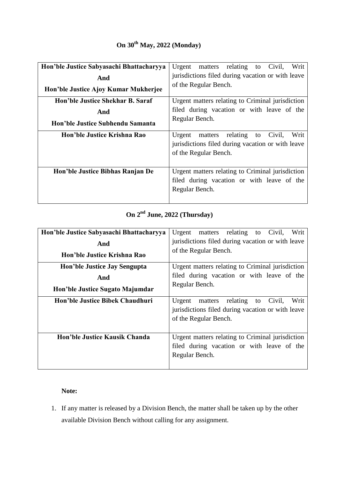## **On 30th May, 2022 (Monday)**

| Hon'ble Justice Sabyasachi Bhattacharyya | Urgent<br>matters relating to Civil,<br>Writ      |
|------------------------------------------|---------------------------------------------------|
| And                                      | jurisdictions filed during vacation or with leave |
| Hon'ble Justice Ajoy Kumar Mukherjee     | of the Regular Bench.                             |
| Hon'ble Justice Shekhar B. Saraf         | Urgent matters relating to Criminal jurisdiction  |
| And                                      | filed during vacation or with leave of the        |
|                                          | Regular Bench.                                    |
| Hon'ble Justice Subhendu Samanta         |                                                   |
| Hon'ble Justice Krishna Rao              | relating to Civil,<br>Writ<br>Urgent<br>matters   |
|                                          | jurisdictions filed during vacation or with leave |
|                                          | of the Regular Bench.                             |
|                                          |                                                   |
| Hon'ble Justice Bibhas Ranjan De         | Urgent matters relating to Criminal jurisdiction  |
|                                          | filed during vacation or with leave of the        |
|                                          | Regular Bench.                                    |
|                                          |                                                   |

## **On 2nd June, 2022 (Thursday)**

| Hon'ble Justice Sabyasachi Bhattacharyya | matters relating to Civil,<br>Urgent<br>Writ                                                                                     |
|------------------------------------------|----------------------------------------------------------------------------------------------------------------------------------|
| And                                      | jurisdictions filed during vacation or with leave                                                                                |
| Hon'ble Justice Krishna Rao              | of the Regular Bench.                                                                                                            |
| Hon'ble Justice Jay Sengupta             | Urgent matters relating to Criminal jurisdiction                                                                                 |
| And                                      | filed during vacation or with leave of the                                                                                       |
| Hon'ble Justice Sugato Majumdar          | Regular Bench.                                                                                                                   |
| Hon'ble Justice Bibek Chaudhuri          | relating to<br>Urgent<br>Civil,<br>Writ<br>matters<br>jurisdictions filed during vacation or with leave<br>of the Regular Bench. |
| Hon'ble Justice Kausik Chanda            | Urgent matters relating to Criminal jurisdiction<br>filed during vacation or with leave of the<br>Regular Bench.                 |

### **Note:**

1. If any matter is released by a Division Bench, the matter shall be taken up by the other available Division Bench without calling for any assignment.